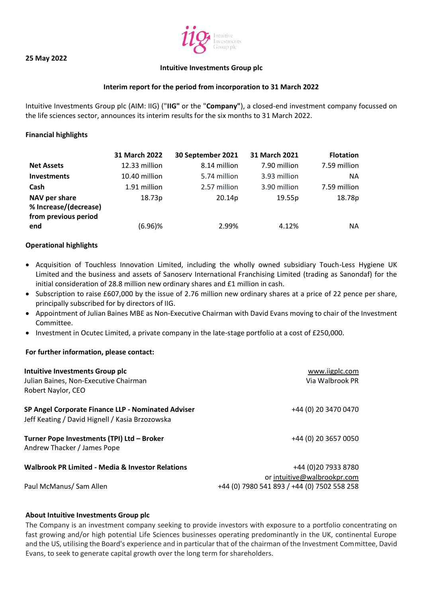#### **25 May 2022**



#### **Intuitive Investments Group plc**

## **Interim report for the period from incorporation to 31 March 2022**

Intuitive Investments Group plc (AIM: IIG) ("**IIG"** or the "**Company"**), a closed-end investment company focussed on the life sciences sector, announces its interim results for the six months to 31 March 2022.

### **Financial highlights**

|                                                                | 31 March 2022 | 30 September 2021 | 31 March 2021 | <b>Flotation</b> |
|----------------------------------------------------------------|---------------|-------------------|---------------|------------------|
| <b>Net Assets</b>                                              | 12.33 million | 8.14 million      | 7.90 million  | 7.59 million     |
| <b>Investments</b>                                             | 10.40 million | 5.74 million      | 3.93 million  | NA.              |
| Cash                                                           | 1.91 million  | 2.57 million      | 3.90 million  | 7.59 million     |
| NAV per share<br>% Increase/(decrease)<br>from previous period | 18.73p        | 20.14p            | 19.55p        | 18.78p           |
| end                                                            | $(6.96)\%$    | 2.99%             | 4.12%         | NA.              |

#### **Operational highlights**

- Acquisition of Touchless Innovation Limited, including the wholly owned subsidiary Touch-Less Hygiene UK Limited and the business and assets of Sanoserv International Franchising Limited (trading as Sanondaf) for the initial consideration of 28.8 million new ordinary shares and £1 million in cash.
- Subscription to raise £607,000 by the issue of 2.76 million new ordinary shares at a price of 22 pence per share, principally subscribed for by directors of IIG.
- Appointment of Julian Baines MBE as Non-Executive Chairman with David Evans moving to chair of the Investment Committee.
- Investment in Ocutec Limited, a private company in the late-stage portfolio at a cost of £250,000.

#### **For further information, please contact:**

| Intuitive Investments Group plc<br>Julian Baines, Non-Executive Chairman                              | www.iigplc.com<br>Via Walbrook PR                   |
|-------------------------------------------------------------------------------------------------------|-----------------------------------------------------|
| Robert Naylor, CEO                                                                                    |                                                     |
| SP Angel Corporate Finance LLP - Nominated Adviser<br>Jeff Keating / David Hignell / Kasia Brzozowska | +44 (0) 20 3470 0470                                |
| Turner Pope Investments (TPI) Ltd - Broker<br>Andrew Thacker / James Pope                             | +44 (0) 20 3657 0050                                |
| <b>Walbrook PR Limited - Media &amp; Investor Relations</b>                                           | +44 (0) 20 7933 8780<br>or intuitive@walbrookpr.com |
| Paul McManus/ Sam Allen                                                                               | +44 (0) 7980 541 893 / +44 (0) 7502 558 258         |

#### **About Intuitive Investments Group plc**

The Company is an investment company seeking to provide investors with exposure to a portfolio concentrating on fast growing and/or high potential Life Sciences businesses operating predominantly in the UK, continental Europe and the US, utilising the Board's experience and in particular that of the chairman of the Investment Committee, David Evans, to seek to generate capital growth over the long term for shareholders.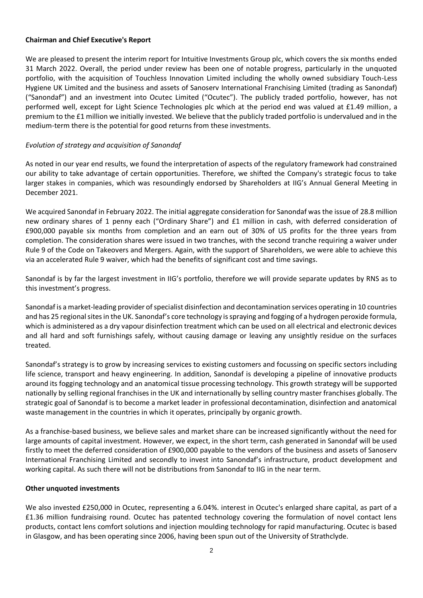### **Chairman and Chief Executive's Report**

We are pleased to present the interim report for Intuitive Investments Group plc, which covers the six months ended 31 March 2022. Overall, the period under review has been one of notable progress, particularly in the unquoted portfolio, with the acquisition of Touchless Innovation Limited including the wholly owned subsidiary Touch-Less Hygiene UK Limited and the business and assets of Sanoserv International Franchising Limited (trading as Sanondaf) ("Sanondaf") and an investment into Ocutec Limited ("Ocutec"). The publicly traded portfolio, however, has not performed well, except for Light Science Technologies plc which at the period end was valued at £1.49 million, a premium to the £1 million we initially invested. We believe that the publicly traded portfolio is undervalued and in the medium-term there is the potential for good returns from these investments.

## *Evolution of strategy and acquisition of Sanondaf*

As noted in our year end results, we found the interpretation of aspects of the regulatory framework had constrained our ability to take advantage of certain opportunities. Therefore, we shifted the Company's strategic focus to take larger stakes in companies, which was resoundingly endorsed by Shareholders at IIG's Annual General Meeting in December 2021.

We acquired Sanondaf in February 2022. The initial aggregate consideration for Sanondaf was the issue of 28.8 million new ordinary shares of 1 penny each ("Ordinary Share") and £1 million in cash, with deferred consideration of £900,000 payable six months from completion and an earn out of 30% of US profits for the three years from completion. The consideration shares were issued in two tranches, with the second tranche requiring a waiver under Rule 9 of the Code on Takeovers and Mergers. Again, with the support of Shareholders, we were able to achieve this via an accelerated Rule 9 waiver, which had the benefits of significant cost and time savings.

Sanondaf is by far the largest investment in IIG's portfolio, therefore we will provide separate updates by RNS as to this investment's progress.

Sanondaf is a market-leading provider of specialist disinfection and decontamination services operating in 10 countries and has 25 regional sites in the UK. Sanondaf's core technology is spraying and fogging of a hydrogen peroxide formula, which is administered as a dry vapour disinfection treatment which can be used on all electrical and electronic devices and all hard and soft furnishings safely, without causing damage or leaving any unsightly residue on the surfaces treated.

Sanondaf's strategy is to grow by increasing services to existing customers and focussing on specific sectors including life science, transport and heavy engineering. In addition, Sanondaf is developing a pipeline of innovative products around its fogging technology and an anatomical tissue processing technology. This growth strategy will be supported nationally by selling regional franchises in the UK and internationally by selling country master franchises globally. The strategic goal of Sanondaf is to become a market leader in professional decontamination, disinfection and anatomical waste management in the countries in which it operates, principally by organic growth.

As a franchise-based business, we believe sales and market share can be increased significantly without the need for large amounts of capital investment. However, we expect, in the short term, cash generated in Sanondaf will be used firstly to meet the deferred consideration of £900,000 payable to the vendors of the business and assets of Sanoserv International Franchising Limited and secondly to invest into Sanondaf's infrastructure, product development and working capital. As such there will not be distributions from Sanondaf to IIG in the near term.

## **Other unquoted investments**

We also invested £250,000 in Ocutec, representing a 6.04%. interest in Ocutec's enlarged share capital, as part of a £1.36 million fundraising round. Ocutec has patented technology covering the formulation of novel contact lens products, contact lens comfort solutions and injection moulding technology for rapid manufacturing. Ocutec is based in Glasgow, and has been operating since 2006, having been spun out of the University of Strathclyde.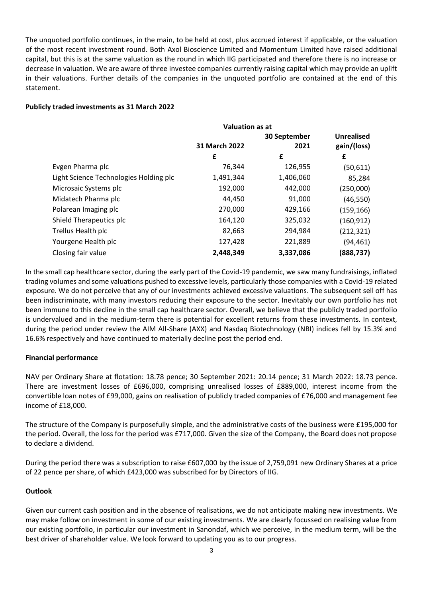The unquoted portfolio continues, in the main, to be held at cost, plus accrued interest if applicable, or the valuation of the most recent investment round. Both Axol Bioscience Limited and Momentum Limited have raised additional capital, but this is at the same valuation as the round in which IIG participated and therefore there is no increase or decrease in valuation. We are aware of three investee companies currently raising capital which may provide an uplift in their valuations. Further details of the companies in the unquoted portfolio are contained at the end of this statement.

### **Publicly traded investments as 31 March 2022**

|                                        | <b>Valuation as at</b> |              |                   |
|----------------------------------------|------------------------|--------------|-------------------|
|                                        |                        | 30 September | <b>Unrealised</b> |
|                                        | 31 March 2022          | 2021         | gain/(loss)       |
|                                        | £                      | £            | £                 |
| Evgen Pharma plc                       | 76,344                 | 126,955      | (50, 611)         |
| Light Science Technologies Holding plc | 1,491,344              | 1,406,060    | 85,284            |
| Microsaic Systems plc                  | 192,000                | 442,000      | (250,000)         |
| Midatech Pharma plc                    | 44,450                 | 91,000       | (46, 550)         |
| Polarean Imaging plc                   | 270,000                | 429,166      | (159, 166)        |
| Shield Therapeutics plc                | 164,120                | 325,032      | (160, 912)        |
| Trellus Health plc                     | 82,663                 | 294,984      | (212, 321)        |
| Yourgene Health plc                    | 127,428                | 221,889      | (94, 461)         |
| Closing fair value                     | 2,448,349              | 3,337,086    | (888,737)         |

In the small cap healthcare sector, during the early part of the Covid-19 pandemic, we saw many fundraisings, inflated trading volumes and some valuations pushed to excessive levels, particularly those companies with a Covid-19 related exposure. We do not perceive that any of our investments achieved excessive valuations. The subsequent sell off has been indiscriminate, with many investors reducing their exposure to the sector. Inevitably our own portfolio has not been immune to this decline in the small cap healthcare sector. Overall, we believe that the publicly traded portfolio is undervalued and in the medium-term there is potential for excellent returns from these investments. In context, during the period under review the AIM All-Share (AXX) and Nasdaq Biotechnology (NBI) indices fell by 15.3% and 16.6% respectively and have continued to materially decline post the period end.

## **Financial performance**

NAV per Ordinary Share at flotation: 18.78 pence; 30 September 2021: 20.14 pence; 31 March 2022: 18.73 pence. There are investment losses of £696,000, comprising unrealised losses of £889,000, interest income from the convertible loan notes of £99,000, gains on realisation of publicly traded companies of £76,000 and management fee income of £18,000.

The structure of the Company is purposefully simple, and the administrative costs of the business were £195,000 for the period. Overall, the loss for the period was £717,000. Given the size of the Company, the Board does not propose to declare a dividend.

During the period there was a subscription to raise £607,000 by the issue of 2,759,091 new Ordinary Shares at a price of 22 pence per share, of which £423,000 was subscribed for by Directors of IIG.

## **Outlook**

Given our current cash position and in the absence of realisations, we do not anticipate making new investments. We may make follow on investment in some of our existing investments. We are clearly focussed on realising value from our existing portfolio, in particular our investment in Sanondaf, which we perceive, in the medium term, will be the best driver of shareholder value. We look forward to updating you as to our progress.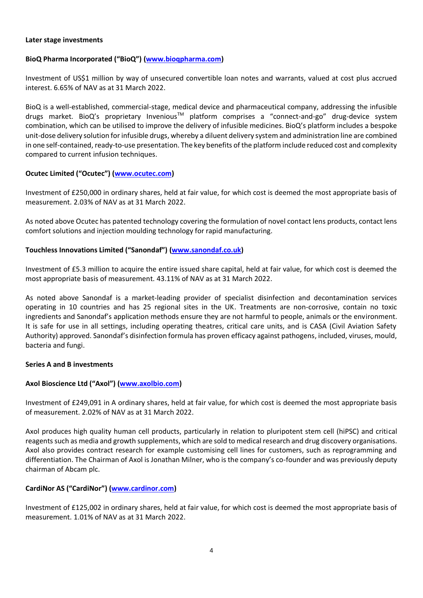## **Later stage investments**

# **BioQ Pharma Incorporated ("BioQ") [\(www.bioqpharma.com\)](http://www.bioqpharma.com/)**

Investment of US\$1 million by way of unsecured convertible loan notes and warrants, valued at cost plus accrued interest. 6.65% of NAV as at 31 March 2022.

BioQ is a well-established, commercial-stage, medical device and pharmaceutical company, addressing the infusible drugs market. BioQ's proprietary Invenious<sup>™</sup> platform comprises a "connect-and-go" drug-device system combination, which can be utilised to improve the delivery of infusible medicines. BioQ's platform includes a bespoke unit-dose delivery solution for infusible drugs, whereby a diluent delivery system and administration line are combined in one self-contained, ready-to-use presentation. The key benefits of the platform include reduced cost and complexity compared to current infusion techniques.

# **Ocutec Limited ("Ocutec") [\(www.ocutec.com\)](http://www.ocutec.com/)**

Investment of £250,000 in ordinary shares, held at fair value, for which cost is deemed the most appropriate basis of measurement. 2.03% of NAV as at 31 March 2022.

As noted above Ocutec has patented technology covering the formulation of novel contact lens products, contact lens comfort solutions and injection moulding technology for rapid manufacturing.

# **Touchless Innovations Limited ("Sanondaf") [\(www.sanondaf.co.uk\)](http://www.sanondaf.co.uk/)**

Investment of £5.3 million to acquire the entire issued share capital, held at fair value, for which cost is deemed the most appropriate basis of measurement. 43.11% of NAV as at 31 March 2022.

As noted above Sanondaf is a market-leading provider of specialist disinfection and decontamination services operating in 10 countries and has 25 regional sites in the UK. Treatments are non-corrosive, contain no toxic ingredients and Sanondaf's application methods ensure they are not harmful to people, animals or the environment. It is safe for use in all settings, including operating theatres, critical care units, and is CASA (Civil Aviation Safety Authority) approved. Sanondaf's disinfection formula has proven efficacy against pathogens, included, viruses, mould, bacteria and fungi.

## **Series A and B investments**

# **Axol Bioscience Ltd ("Axol") [\(www.axolbio.com\)](http://www.axolbio.com/)**

Investment of £249,091 in A ordinary shares, held at fair value, for which cost is deemed the most appropriate basis of measurement. 2.02% of NAV as at 31 March 2022.

Axol produces high quality human cell products, particularly in relation to pluripotent stem cell (hiPSC) and critical reagents such as media and growth supplements, which are sold to medical research and drug discovery organisations. Axol also provides contract research for example customising cell lines for customers, such as reprogramming and differentiation. The Chairman of Axol is Jonathan Milner, who is the company's co-founder and was previously deputy chairman of Abcam plc.

# **CardiNor AS ("CardiNor") [\(www.cardinor.com\)](http://www.cardinor.com/)**

Investment of £125,002 in ordinary shares, held at fair value, for which cost is deemed the most appropriate basis of measurement. 1.01% of NAV as at 31 March 2022.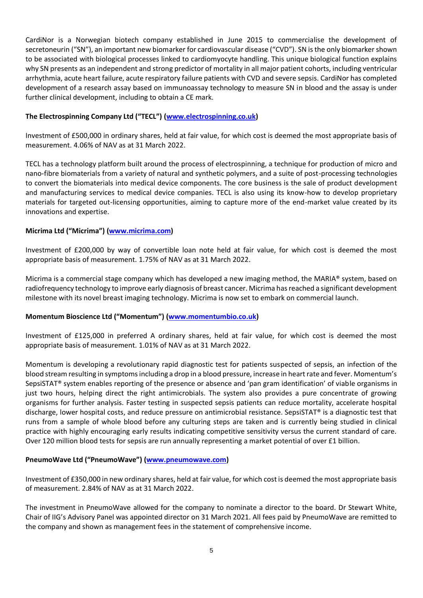CardiNor is a Norwegian biotech company established in June 2015 to commercialise the development of secretoneurin ("SN"), an important new biomarker for cardiovascular disease ("CVD"). SN is the only biomarker shown to be associated with biological processes linked to cardiomyocyte handling. This unique biological function explains why SN presents as an independent and strong predictor of mortality in all major patient cohorts, including ventricular arrhythmia, acute heart failure, acute respiratory failure patients with CVD and severe sepsis. CardiNor has completed development of a research assay based on immunoassay technology to measure SN in blood and the assay is under further clinical development, including to obtain a CE mark.

# **The Electrospinning Company Ltd ("TECL") [\(www.electrospinning.co.uk\)](http://www.electrospinning.co.uk/)**

Investment of £500,000 in ordinary shares, held at fair value, for which cost is deemed the most appropriate basis of measurement. 4.06% of NAV as at 31 March 2022.

TECL has a technology platform built around the process of electrospinning, a technique for production of micro and nano-fibre biomaterials from a variety of natural and synthetic polymers, and a suite of post-processing technologies to convert the biomaterials into medical device components. The core business is the sale of product development and manufacturing services to medical device companies. TECL is also using its know-how to develop proprietary materials for targeted out-licensing opportunities, aiming to capture more of the end-market value created by its innovations and expertise.

# **Micrima Ltd ("Micrima") [\(www.micrima.com\)](http://www.micrima.com/)**

Investment of £200,000 by way of convertible loan note held at fair value, for which cost is deemed the most appropriate basis of measurement. 1.75% of NAV as at 31 March 2022.

Micrima is a commercial stage company which has developed a new imaging method, the MARIA® system, based on radiofrequency technology to improve early diagnosis of breast cancer. Micrima has reached a significant development milestone with its novel breast imaging technology. Micrima is now set to embark on commercial launch.

## **Momentum Bioscience Ltd ("Momentum") [\(www.momentumbio.co.uk\)](http://www.momentumbio.co.uk/)**

Investment of £125,000 in preferred A ordinary shares, held at fair value, for which cost is deemed the most appropriate basis of measurement. 1.01% of NAV as at 31 March 2022.

Momentum is developing a revolutionary rapid diagnostic test for patients suspected of sepsis, an infection of the blood stream resulting in symptoms including a drop in a blood pressure, increase in heart rate and fever. Momentum's SepsiSTAT® system enables reporting of the presence or absence and 'pan gram identification' of viable organisms in just two hours, helping direct the right antimicrobials. The system also provides a pure concentrate of growing organisms for further analysis. Faster testing in suspected sepsis patients can reduce mortality, accelerate hospital discharge, lower hospital costs, and reduce pressure on antimicrobial resistance. SepsiSTAT® is a diagnostic test that runs from a sample of whole blood before any culturing steps are taken and is currently being studied in clinical practice with highly encouraging early results indicating competitive sensitivity versus the current standard of care. Over 120 million blood tests for sepsis are run annually representing a market potential of over £1 billion.

## **PneumoWave Ltd ("PneumoWave") [\(www.pneumowave.com\)](http://www.pneumowave.com/)**

Investment of £350,000 in new ordinary shares, held at fair value, for which cost is deemed the most appropriate basis of measurement. 2.84% of NAV as at 31 March 2022.

The investment in PneumoWave allowed for the company to nominate a director to the board. Dr Stewart White, Chair of IIG's Advisory Panel was appointed director on 31 March 2021. All fees paid by PneumoWave are remitted to the company and shown as management fees in the statement of comprehensive income.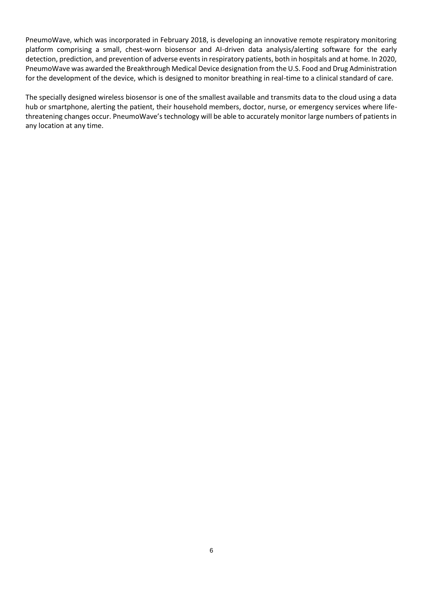PneumoWave, which was incorporated in February 2018, is developing an innovative remote respiratory monitoring platform comprising a small, chest-worn biosensor and AI-driven data analysis/alerting software for the early detection, prediction, and prevention of adverse events in respiratory patients, both in hospitals and at home. In 2020, PneumoWave was awarded the Breakthrough Medical Device designation from the U.S. Food and Drug Administration for the development of the device, which is designed to monitor breathing in real-time to a clinical standard of care.

The specially designed wireless biosensor is one of the smallest available and transmits data to the cloud using a data hub or smartphone, alerting the patient, their household members, doctor, nurse, or emergency services where lifethreatening changes occur. PneumoWave's technology will be able to accurately monitor large numbers of patients in any location at any time.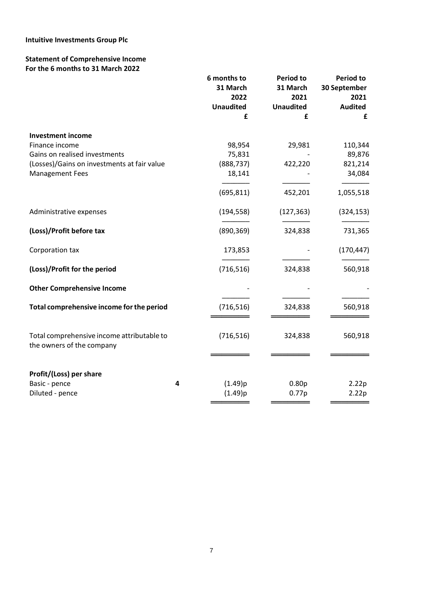# **Intuitive Investments Group Plc**

# **Statement of Comprehensive Income For the 6 months to 31 March 2022**

| £<br>£<br>£<br><b>Investment income</b><br>Finance income<br>98,954<br>29,981<br>110,344<br>Gains on realised investments<br>75,831<br>89,876<br>(Losses)/Gains on investments at fair value<br>(888, 737)<br>422,220<br>821,214<br><b>Management Fees</b><br>18,141<br>34,084<br>(695, 811)<br>452,201<br>1,055,518<br>Administrative expenses<br>(194, 558)<br>(127, 363)<br>(324, 153)<br>(Loss)/Profit before tax<br>(890, 369)<br>324,838<br>731,365<br>(170, 447)<br>Corporation tax<br>173,853<br>(Loss)/Profit for the period<br>(716, 516)<br>324,838<br>560,918<br><b>Other Comprehensive Income</b><br>Total comprehensive income for the period<br>(716, 516)<br>324,838<br>560,918<br>(716, 516)<br>Total comprehensive income attributable to<br>324,838<br>560,918<br>the owners of the company<br>Profit/(Loss) per share<br>(1.49)p<br>Basic - pence<br>4<br>0.80 <sub>p</sub><br>2.22p<br>Diluted - pence<br>(1.49)p<br>0.77p<br>2.22p | 6 months to<br>31 March<br>2022<br><b>Unaudited</b> | <b>Period to</b><br>31 March<br>2021<br><b>Unaudited</b> | <b>Period to</b><br>30 September<br>2021<br><b>Audited</b> |
|----------------------------------------------------------------------------------------------------------------------------------------------------------------------------------------------------------------------------------------------------------------------------------------------------------------------------------------------------------------------------------------------------------------------------------------------------------------------------------------------------------------------------------------------------------------------------------------------------------------------------------------------------------------------------------------------------------------------------------------------------------------------------------------------------------------------------------------------------------------------------------------------------------------------------------------------------------|-----------------------------------------------------|----------------------------------------------------------|------------------------------------------------------------|
|                                                                                                                                                                                                                                                                                                                                                                                                                                                                                                                                                                                                                                                                                                                                                                                                                                                                                                                                                          |                                                     |                                                          |                                                            |
|                                                                                                                                                                                                                                                                                                                                                                                                                                                                                                                                                                                                                                                                                                                                                                                                                                                                                                                                                          |                                                     |                                                          |                                                            |
|                                                                                                                                                                                                                                                                                                                                                                                                                                                                                                                                                                                                                                                                                                                                                                                                                                                                                                                                                          |                                                     |                                                          |                                                            |
|                                                                                                                                                                                                                                                                                                                                                                                                                                                                                                                                                                                                                                                                                                                                                                                                                                                                                                                                                          |                                                     |                                                          |                                                            |
|                                                                                                                                                                                                                                                                                                                                                                                                                                                                                                                                                                                                                                                                                                                                                                                                                                                                                                                                                          |                                                     |                                                          |                                                            |
|                                                                                                                                                                                                                                                                                                                                                                                                                                                                                                                                                                                                                                                                                                                                                                                                                                                                                                                                                          |                                                     |                                                          |                                                            |
|                                                                                                                                                                                                                                                                                                                                                                                                                                                                                                                                                                                                                                                                                                                                                                                                                                                                                                                                                          |                                                     |                                                          |                                                            |
|                                                                                                                                                                                                                                                                                                                                                                                                                                                                                                                                                                                                                                                                                                                                                                                                                                                                                                                                                          |                                                     |                                                          |                                                            |
|                                                                                                                                                                                                                                                                                                                                                                                                                                                                                                                                                                                                                                                                                                                                                                                                                                                                                                                                                          |                                                     |                                                          |                                                            |
|                                                                                                                                                                                                                                                                                                                                                                                                                                                                                                                                                                                                                                                                                                                                                                                                                                                                                                                                                          |                                                     |                                                          |                                                            |
|                                                                                                                                                                                                                                                                                                                                                                                                                                                                                                                                                                                                                                                                                                                                                                                                                                                                                                                                                          |                                                     |                                                          |                                                            |
|                                                                                                                                                                                                                                                                                                                                                                                                                                                                                                                                                                                                                                                                                                                                                                                                                                                                                                                                                          |                                                     |                                                          |                                                            |
|                                                                                                                                                                                                                                                                                                                                                                                                                                                                                                                                                                                                                                                                                                                                                                                                                                                                                                                                                          |                                                     |                                                          |                                                            |
|                                                                                                                                                                                                                                                                                                                                                                                                                                                                                                                                                                                                                                                                                                                                                                                                                                                                                                                                                          |                                                     |                                                          |                                                            |
|                                                                                                                                                                                                                                                                                                                                                                                                                                                                                                                                                                                                                                                                                                                                                                                                                                                                                                                                                          |                                                     |                                                          |                                                            |
|                                                                                                                                                                                                                                                                                                                                                                                                                                                                                                                                                                                                                                                                                                                                                                                                                                                                                                                                                          |                                                     |                                                          |                                                            |
|                                                                                                                                                                                                                                                                                                                                                                                                                                                                                                                                                                                                                                                                                                                                                                                                                                                                                                                                                          |                                                     |                                                          |                                                            |
|                                                                                                                                                                                                                                                                                                                                                                                                                                                                                                                                                                                                                                                                                                                                                                                                                                                                                                                                                          |                                                     |                                                          |                                                            |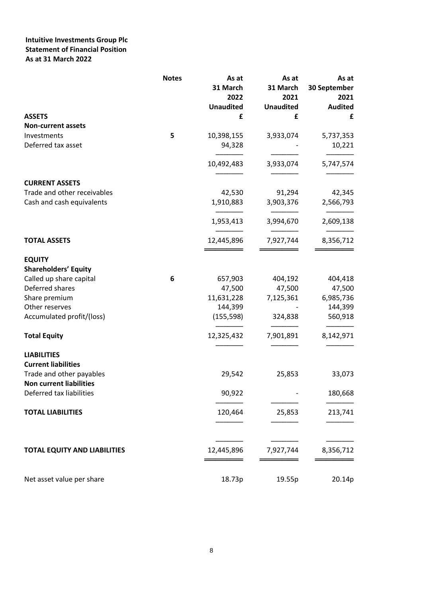# **Intuitive Investments Group Plc Statement of Financial Position As at 31 March 2022**

|                                     | <b>Notes</b> | As at<br>31 March<br>2022 | As at<br>31 March<br>2021 | As at<br>30 September<br>2021 |
|-------------------------------------|--------------|---------------------------|---------------------------|-------------------------------|
|                                     |              | <b>Unaudited</b>          | <b>Unaudited</b>          | <b>Audited</b>                |
| <b>ASSETS</b>                       |              | £                         | £                         | £                             |
| <b>Non-current assets</b>           |              |                           |                           |                               |
| Investments                         | 5            | 10,398,155                | 3,933,074                 | 5,737,353                     |
| Deferred tax asset                  |              | 94,328                    |                           | 10,221                        |
|                                     |              | 10,492,483                | 3,933,074                 | 5,747,574                     |
| <b>CURRENT ASSETS</b>               |              |                           |                           |                               |
| Trade and other receivables         |              | 42,530                    | 91,294                    | 42,345                        |
| Cash and cash equivalents           |              | 1,910,883                 | 3,903,376                 | 2,566,793                     |
|                                     |              | 1,953,413                 | 3,994,670                 | 2,609,138                     |
| <b>TOTAL ASSETS</b>                 |              | 12,445,896                | 7,927,744                 | 8,356,712                     |
| <b>EQUITY</b>                       |              |                           |                           |                               |
| <b>Shareholders' Equity</b>         |              |                           |                           |                               |
| Called up share capital             | 6            | 657,903                   | 404,192                   | 404,418                       |
| Deferred shares                     |              | 47,500                    | 47,500                    | 47,500                        |
| Share premium                       |              | 11,631,228                | 7,125,361                 | 6,985,736                     |
| Other reserves                      |              | 144,399                   |                           | 144,399                       |
| Accumulated profit/(loss)           |              | (155, 598)                | 324,838                   | 560,918                       |
| <b>Total Equity</b>                 |              | 12,325,432                | 7,901,891                 | 8,142,971                     |
| <b>LIABILITIES</b>                  |              |                           |                           |                               |
| <b>Current liabilities</b>          |              |                           |                           |                               |
| Trade and other payables            |              | 29,542                    | 25,853                    | 33,073                        |
| <b>Non current liabilities</b>      |              |                           |                           |                               |
| Deferred tax liabilities            |              | 90,922                    |                           | 180,668                       |
| <b>TOTAL LIABILITIES</b>            |              | 120,464                   | 25,853                    | 213,741                       |
| <b>TOTAL EQUITY AND LIABILITIES</b> |              | 12,445,896                | 7,927,744                 | 8,356,712                     |
|                                     |              |                           |                           |                               |
| Net asset value per share           |              | 18.73p                    | 19.55p                    | 20.14p                        |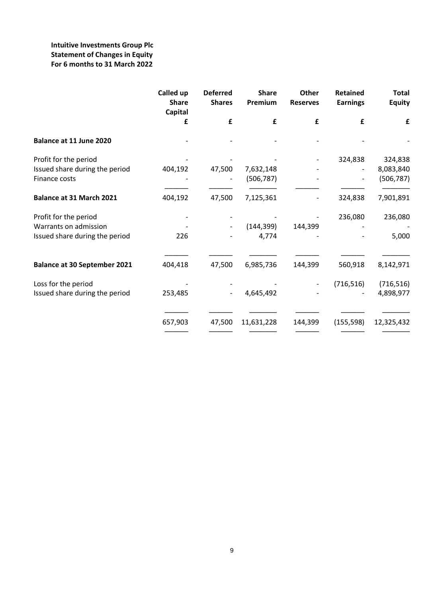# **Intuitive Investments Group Plc Statement of Changes in Equity For 6 months to 31 March 2022**

|                                                                                  | Called up<br><b>Share</b><br>Capital | <b>Deferred</b><br><b>Shares</b> | <b>Share</b><br>Premium | <b>Other</b><br><b>Reserves</b> | <b>Retained</b><br><b>Earnings</b> | <b>Total</b><br><b>Equity</b> |
|----------------------------------------------------------------------------------|--------------------------------------|----------------------------------|-------------------------|---------------------------------|------------------------------------|-------------------------------|
|                                                                                  | £                                    | £                                | £                       | £                               | £                                  | £                             |
| Balance at 11 June 2020                                                          |                                      |                                  |                         |                                 |                                    |                               |
| Profit for the period                                                            |                                      |                                  |                         |                                 | 324,838                            | 324,838                       |
| Issued share during the period<br>Finance costs                                  | 404,192                              | 47,500                           | 7,632,148<br>(506, 787) |                                 |                                    | 8,083,840<br>(506, 787)       |
| <b>Balance at 31 March 2021</b>                                                  | 404,192                              | 47,500                           | 7,125,361               |                                 | 324,838                            | 7,901,891                     |
| Profit for the period<br>Warrants on admission<br>Issued share during the period | 226                                  |                                  | (144, 399)<br>4,774     | 144,399                         | 236,080                            | 236,080<br>5,000              |
| <b>Balance at 30 September 2021</b>                                              | 404,418                              | 47,500                           | 6,985,736               | 144,399                         | 560,918                            | 8,142,971                     |
| Loss for the period<br>Issued share during the period                            | 253,485                              |                                  | 4,645,492               |                                 | (716, 516)                         | (716, 516)<br>4,898,977       |
|                                                                                  | 657,903                              | 47,500                           | 11,631,228              | 144,399                         | (155, 598)                         | 12,325,432                    |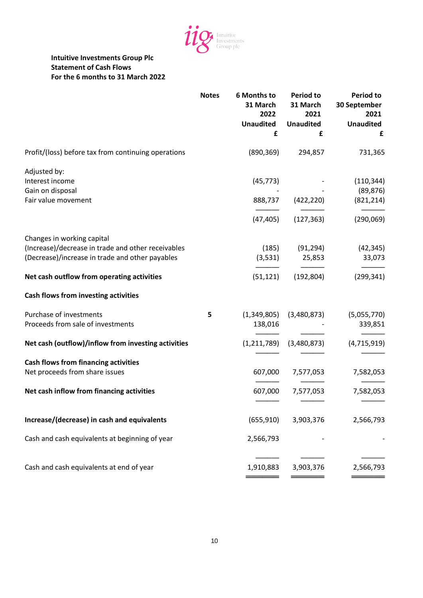

# **Intuitive Investments Group Plc Statement of Cash Flows For the 6 months to 31 March 2022**

|                                                                                                                                     | <b>Notes</b> | <b>6 Months to</b><br>31 March<br>2022<br><b>Unaudited</b><br>£ | <b>Period to</b><br>31 March<br>2021<br><b>Unaudited</b><br>£ | <b>Period to</b><br>30 September<br>2021<br><b>Unaudited</b><br>£ |
|-------------------------------------------------------------------------------------------------------------------------------------|--------------|-----------------------------------------------------------------|---------------------------------------------------------------|-------------------------------------------------------------------|
| Profit/(loss) before tax from continuing operations                                                                                 |              | (890, 369)                                                      | 294,857                                                       | 731,365                                                           |
| Adjusted by:<br>Interest income<br>Gain on disposal<br>Fair value movement                                                          |              | (45, 773)<br>888,737                                            | (422, 220)<br>$(47, 405)$ $(127, 363)$                        | (110, 344)<br>(89, 876)<br>(821, 214)<br>(290,069)                |
| Changes in working capital<br>(Increase)/decrease in trade and other receivables<br>(Decrease)/increase in trade and other payables |              | (185)<br>(3,531)                                                | (91,294)<br>25,853                                            | (42, 345)<br>33,073                                               |
| Net cash outflow from operating activities                                                                                          |              | (51, 121)                                                       | (192, 804)                                                    | (299, 341)                                                        |
| Cash flows from investing activities                                                                                                |              |                                                                 |                                                               |                                                                   |
| Purchase of investments<br>Proceeds from sale of investments                                                                        | 5            | 138,016                                                         | $(1,349,805)$ $(3,480,873)$                                   | (5,055,770)<br>339,851                                            |
| Net cash (outflow)/inflow from investing activities                                                                                 |              |                                                                 | $(1,211,789)$ $(3,480,873)$                                   | (4, 715, 919)                                                     |
| <b>Cash flows from financing activities</b><br>Net proceeds from share issues                                                       |              |                                                                 | 607,000 7,577,053                                             | 7,582,053                                                         |
| Net cash inflow from financing activities                                                                                           |              |                                                                 | 607,000 7,577,053                                             | 7,582,053                                                         |
| Increase/(decrease) in cash and equivalents                                                                                         |              | (655, 910)                                                      | 3,903,376                                                     | 2,566,793                                                         |
| Cash and cash equivalents at beginning of year                                                                                      |              | 2,566,793                                                       |                                                               |                                                                   |
| Cash and cash equivalents at end of year                                                                                            |              | 1,910,883                                                       | 3,903,376                                                     | 2,566,793                                                         |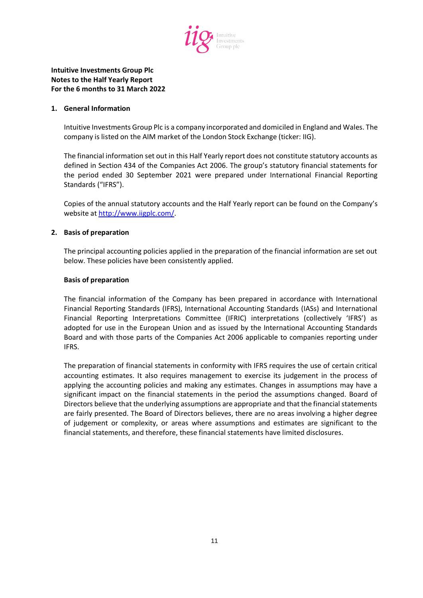

### **1. General Information**

Intuitive Investments Group Plc is a company incorporated and domiciled in England and Wales. The company is listed on the AIM market of the London Stock Exchange (ticker: IIG).

The financial information set out in this Half Yearly report does not constitute statutory accounts as defined in Section 434 of the Companies Act 2006. The group's statutory financial statements for the period ended 30 September 2021 were prepared under International Financial Reporting Standards ("IFRS").

Copies of the annual statutory accounts and the Half Yearly report can be found on the Company's website at [http://www.iigplc.com/.](http://www.iigplc.com/)

## **2. Basis of preparation**

The principal accounting policies applied in the preparation of the financial information are set out below. These policies have been consistently applied.

#### **Basis of preparation**

The financial information of the Company has been prepared in accordance with International Financial Reporting Standards (IFRS), International Accounting Standards (IASs) and International Financial Reporting Interpretations Committee (IFRIC) interpretations (collectively 'IFRS') as adopted for use in the European Union and as issued by the International Accounting Standards Board and with those parts of the Companies Act 2006 applicable to companies reporting under IFRS.

The preparation of financial statements in conformity with IFRS requires the use of certain critical accounting estimates. It also requires management to exercise its judgement in the process of applying the accounting policies and making any estimates. Changes in assumptions may have a significant impact on the financial statements in the period the assumptions changed. Board of Directors believe that the underlying assumptions are appropriate and that the financial statements are fairly presented. The Board of Directors believes, there are no areas involving a higher degree of judgement or complexity, or areas where assumptions and estimates are significant to the financial statements, and therefore, these financial statements have limited disclosures.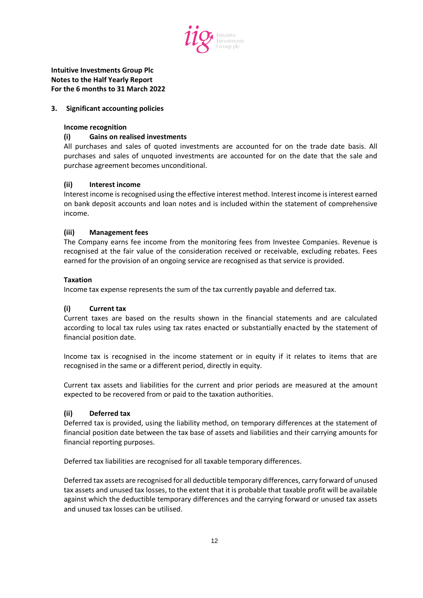

# **3. Significant accounting policies**

## **Income recognition**

# **(i) Gains on realised investments**

All purchases and sales of quoted investments are accounted for on the trade date basis. All purchases and sales of unquoted investments are accounted for on the date that the sale and purchase agreement becomes unconditional.

# **(ii) Interest income**

Interest income is recognised using the effective interest method. Interest income is interest earned on bank deposit accounts and loan notes and is included within the statement of comprehensive income.

# **(iii) Management fees**

The Company earns fee income from the monitoring fees from Investee Companies. Revenue is recognised at the fair value of the consideration received or receivable, excluding rebates. Fees earned for the provision of an ongoing service are recognised as that service is provided.

# **Taxation**

Income tax expense represents the sum of the tax currently payable and deferred tax.

# **(i) Current tax**

Current taxes are based on the results shown in the financial statements and are calculated according to local tax rules using tax rates enacted or substantially enacted by the statement of financial position date.

Income tax is recognised in the income statement or in equity if it relates to items that are recognised in the same or a different period, directly in equity.

Current tax assets and liabilities for the current and prior periods are measured at the amount expected to be recovered from or paid to the taxation authorities.

# **(ii) Deferred tax**

Deferred tax is provided, using the liability method, on temporary differences at the statement of financial position date between the tax base of assets and liabilities and their carrying amounts for financial reporting purposes.

Deferred tax liabilities are recognised for all taxable temporary differences.

Deferred tax assets are recognised for all deductible temporary differences, carry forward of unused tax assets and unused tax losses, to the extent that it is probable that taxable profit will be available against which the deductible temporary differences and the carrying forward or unused tax assets and unused tax losses can be utilised.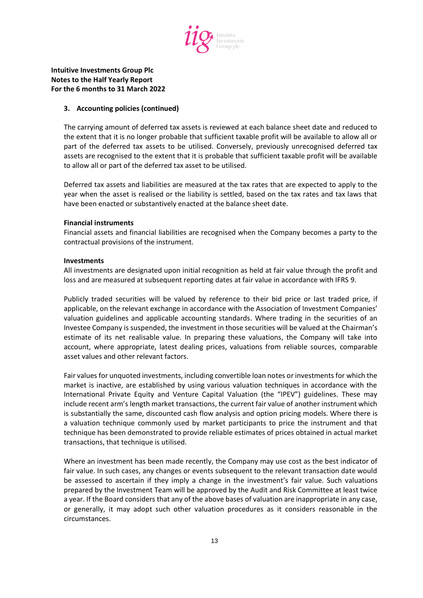

## **3. Accounting policies (continued)**

The carrying amount of deferred tax assets is reviewed at each balance sheet date and reduced to the extent that it is no longer probable that sufficient taxable profit will be available to allow all or part of the deferred tax assets to be utilised. Conversely, previously unrecognised deferred tax assets are recognised to the extent that it is probable that sufficient taxable profit will be available to allow all or part of the deferred tax asset to be utilised.

Deferred tax assets and liabilities are measured at the tax rates that are expected to apply to the year when the asset is realised or the liability is settled, based on the tax rates and tax laws that have been enacted or substantively enacted at the balance sheet date.

## **Financial instruments**

Financial assets and financial liabilities are recognised when the Company becomes a party to the contractual provisions of the instrument.

## **Investments**

All investments are designated upon initial recognition as held at fair value through the profit and loss and are measured at subsequent reporting dates at fair value in accordance with IFRS 9.

Publicly traded securities will be valued by reference to their bid price or last traded price, if applicable, on the relevant exchange in accordance with the Association of Investment Companies' valuation guidelines and applicable accounting standards. Where trading in the securities of an Investee Company is suspended, the investment in those securities will be valued at the Chairman's estimate of its net realisable value. In preparing these valuations, the Company will take into account, where appropriate, latest dealing prices, valuations from reliable sources, comparable asset values and other relevant factors.

Fair values for unquoted investments, including convertible loan notes or investments for which the market is inactive, are established by using various valuation techniques in accordance with the International Private Equity and Venture Capital Valuation (the "IPEV") guidelines. These may include recent arm's length market transactions, the current fair value of another instrument which is substantially the same, discounted cash flow analysis and option pricing models. Where there is a valuation technique commonly used by market participants to price the instrument and that technique has been demonstrated to provide reliable estimates of prices obtained in actual market transactions, that technique is utilised.

Where an investment has been made recently, the Company may use cost as the best indicator of fair value. In such cases, any changes or events subsequent to the relevant transaction date would be assessed to ascertain if they imply a change in the investment's fair value. Such valuations prepared by the Investment Team will be approved by the Audit and Risk Committee at least twice a year. If the Board considers that any of the above bases of valuation are inappropriate in any case, or generally, it may adopt such other valuation procedures as it considers reasonable in the circumstances.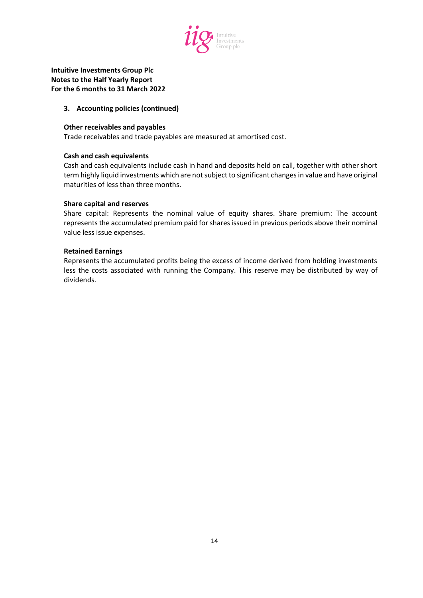

## **3. Accounting policies (continued)**

#### **Other receivables and payables**

Trade receivables and trade payables are measured at amortised cost.

#### **Cash and cash equivalents**

Cash and cash equivalents include cash in hand and deposits held on call, together with other short term highly liquid investments which are not subject to significant changes in value and have original maturities of less than three months.

#### **Share capital and reserves**

Share capital: Represents the nominal value of equity shares. Share premium: The account represents the accumulated premium paid for shares issued in previous periods above their nominal value less issue expenses.

#### **Retained Earnings**

Represents the accumulated profits being the excess of income derived from holding investments less the costs associated with running the Company. This reserve may be distributed by way of dividends.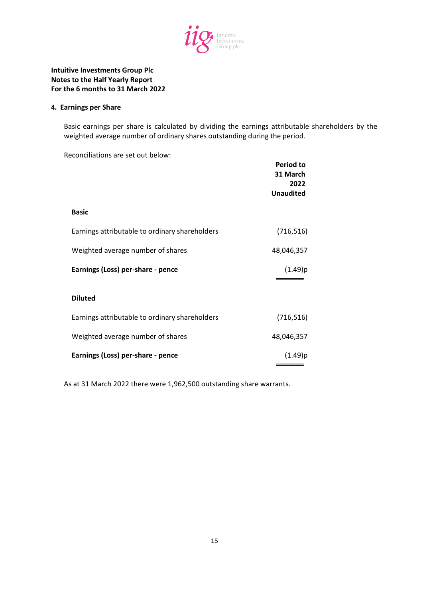

#### **4. Earnings per Share**

Basic earnings per share is calculated by dividing the earnings attributable shareholders by the weighted average number of ordinary shares outstanding during the period.

Reconciliations are set out below:

|                                                | Period to<br>31 March<br>2022<br><b>Unaudited</b> |
|------------------------------------------------|---------------------------------------------------|
| <b>Basic</b>                                   |                                                   |
| Earnings attributable to ordinary shareholders | (716, 516)                                        |
| Weighted average number of shares              | 48,046,357                                        |
| Earnings (Loss) per-share - pence              | (1.49)p                                           |
| <b>Diluted</b>                                 |                                                   |
| Earnings attributable to ordinary shareholders | (716, 516)                                        |
| Weighted average number of shares              | 48,046,357                                        |
| Earnings (Loss) per-share - pence              | (1.49)p                                           |

As at 31 March 2022 there were 1,962,500 outstanding share warrants.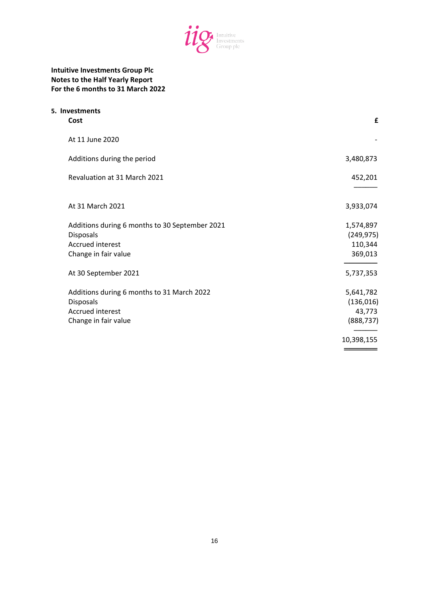

| 5. Investments<br>Cost                                                                                         | £                                               |
|----------------------------------------------------------------------------------------------------------------|-------------------------------------------------|
| At 11 June 2020                                                                                                |                                                 |
| Additions during the period                                                                                    | 3,480,873                                       |
| Revaluation at 31 March 2021                                                                                   | 452,201                                         |
| At 31 March 2021                                                                                               | 3,933,074                                       |
| Additions during 6 months to 30 September 2021<br>Disposals<br><b>Accrued interest</b><br>Change in fair value | 1,574,897<br>(249, 975)<br>110,344<br>369,013   |
| At 30 September 2021                                                                                           | 5,737,353                                       |
| Additions during 6 months to 31 March 2022<br>Disposals<br>Accrued interest<br>Change in fair value            | 5,641,782<br>(136, 016)<br>43,773<br>(888, 737) |
|                                                                                                                | 10,398,155                                      |